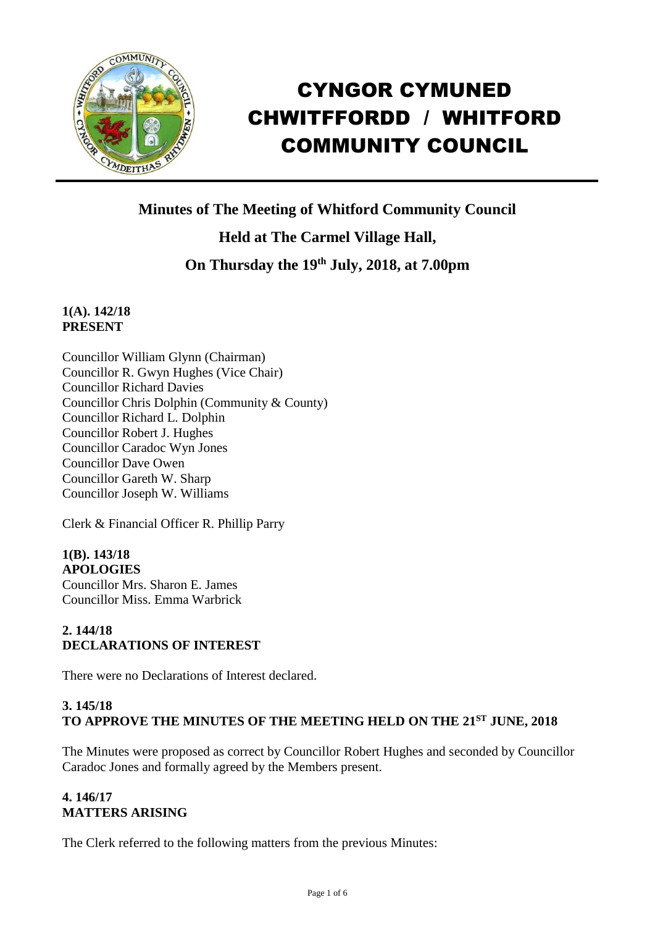

# CYNGOR CYMUNED CHWITFFORDD / WHITFORD COMMUNITY COUNCIL

**Minutes of The Meeting of Whitford Community Council**

**Held at The Carmel Village Hall,**

**On Thursday the 19th July, 2018, at 7.00pm**

# **1(A). 142/18 PRESENT**

Councillor William Glynn (Chairman) Councillor R. Gwyn Hughes (Vice Chair) Councillor Richard Davies Councillor Chris Dolphin (Community & County) Councillor Richard L. Dolphin Councillor Robert J. Hughes Councillor Caradoc Wyn Jones Councillor Dave Owen Councillor Gareth W. Sharp Councillor Joseph W. Williams

Clerk & Financial Officer R. Phillip Parry

**1(B). 143/18 APOLOGIES** Councillor Mrs. Sharon E. James Councillor Miss. Emma Warbrick

# **2. 144/18 DECLARATIONS OF INTEREST**

There were no Declarations of Interest declared.

# **3. 145/18 TO APPROVE THE MINUTES OF THE MEETING HELD ON THE 21ST JUNE, 2018**

The Minutes were proposed as correct by Councillor Robert Hughes and seconded by Councillor Caradoc Jones and formally agreed by the Members present.

# **4. 146/17 MATTERS ARISING**

The Clerk referred to the following matters from the previous Minutes: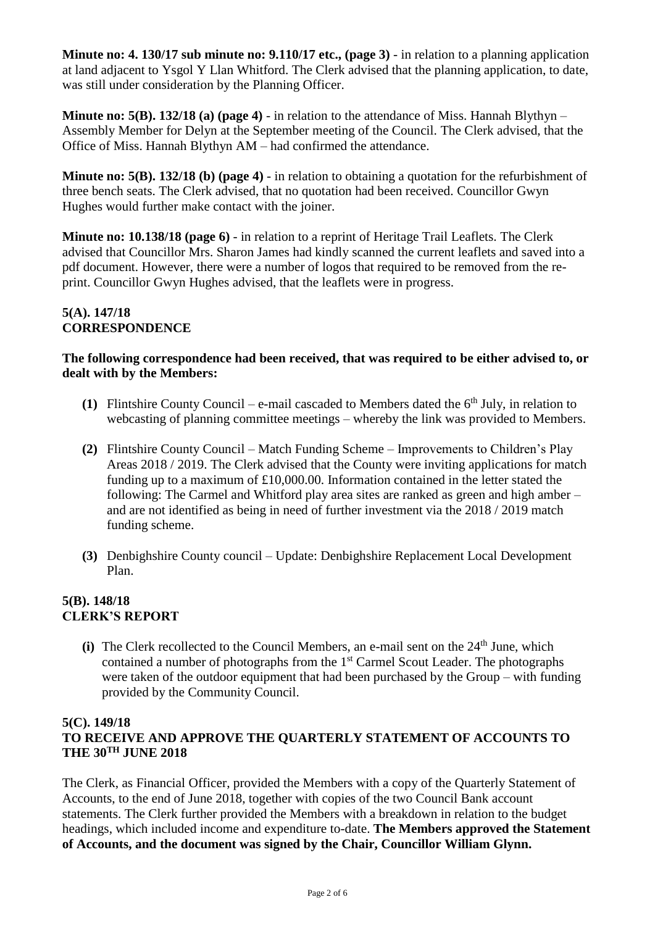**Minute no: 4. 130/17 sub minute no: 9.110/17 etc., (page 3)** - in relation to a planning application at land adjacent to Ysgol Y Llan Whitford. The Clerk advised that the planning application, to date, was still under consideration by the Planning Officer.

**Minute no: 5(B). 132/18 (a) (page 4)** - in relation to the attendance of Miss. Hannah Blythyn – Assembly Member for Delyn at the September meeting of the Council. The Clerk advised, that the Office of Miss. Hannah Blythyn AM – had confirmed the attendance.

**Minute no: 5(B). 132/18 (b) (page 4)** - in relation to obtaining a quotation for the refurbishment of three bench seats. The Clerk advised, that no quotation had been received. Councillor Gwyn Hughes would further make contact with the joiner.

**Minute no: 10.138/18 (page 6)** - in relation to a reprint of Heritage Trail Leaflets. The Clerk advised that Councillor Mrs. Sharon James had kindly scanned the current leaflets and saved into a pdf document. However, there were a number of logos that required to be removed from the reprint. Councillor Gwyn Hughes advised, that the leaflets were in progress.

### **5(A). 147/18 CORRESPONDENCE**

### **The following correspondence had been received, that was required to be either advised to, or dealt with by the Members:**

- **(1)** Flintshire County Council e-mail cascaded to Members dated the 6th July, in relation to webcasting of planning committee meetings – whereby the link was provided to Members.
- **(2)** Flintshire County Council Match Funding Scheme Improvements to Children's Play Areas 2018 / 2019. The Clerk advised that the County were inviting applications for match funding up to a maximum of £10,000.00. Information contained in the letter stated the following: The Carmel and Whitford play area sites are ranked as green and high amber – and are not identified as being in need of further investment via the 2018 / 2019 match funding scheme.
- **(3)** Denbighshire County council Update: Denbighshire Replacement Local Development Plan.

# **5(B). 148/18 CLERK'S REPORT**

 $(i)$  The Clerk recollected to the Council Members, an e-mail sent on the  $24<sup>th</sup>$  June, which contained a number of photographs from the 1<sup>st</sup> Carmel Scout Leader. The photographs were taken of the outdoor equipment that had been purchased by the Group – with funding provided by the Community Council.

## **5(C). 149/18**

# **TO RECEIVE AND APPROVE THE QUARTERLY STATEMENT OF ACCOUNTS TO THE 30TH JUNE 2018**

The Clerk, as Financial Officer, provided the Members with a copy of the Quarterly Statement of Accounts, to the end of June 2018, together with copies of the two Council Bank account statements. The Clerk further provided the Members with a breakdown in relation to the budget headings, which included income and expenditure to-date. **The Members approved the Statement of Accounts, and the document was signed by the Chair, Councillor William Glynn.**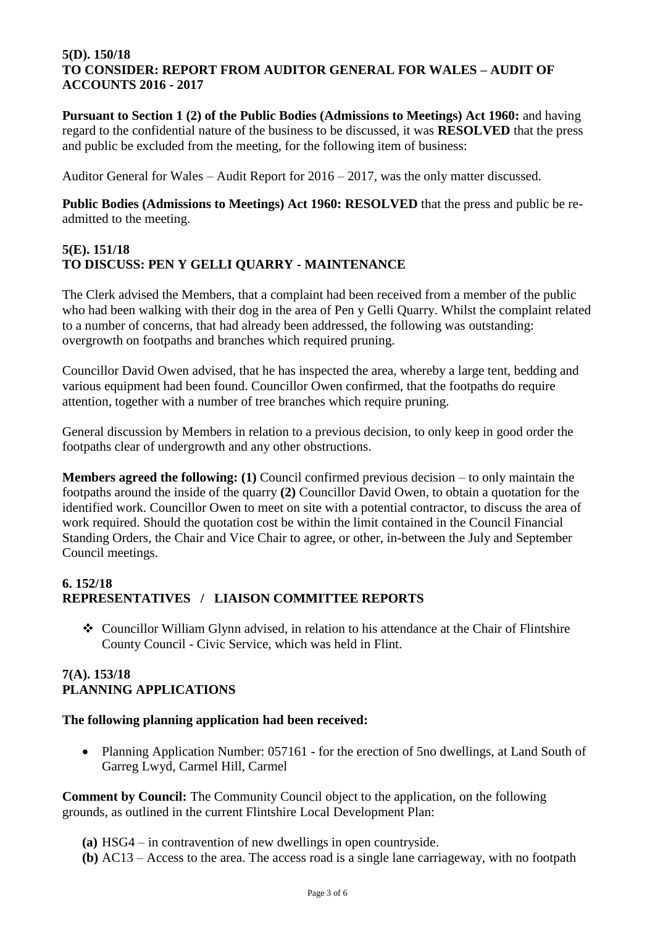#### **5(D). 150/18 TO CONSIDER: REPORT FROM AUDITOR GENERAL FOR WALES – AUDIT OF ACCOUNTS 2016 - 2017**

**Pursuant to Section 1 (2) of the Public Bodies (Admissions to Meetings) Act 1960:** and having regard to the confidential nature of the business to be discussed, it was **RESOLVED** that the press and public be excluded from the meeting, for the following item of business:

Auditor General for Wales – Audit Report for 2016 – 2017, was the only matter discussed.

**Public Bodies (Admissions to Meetings) Act 1960: RESOLVED** that the press and public be readmitted to the meeting.

## **5(E). 151/18 TO DISCUSS: PEN Y GELLI QUARRY - MAINTENANCE**

The Clerk advised the Members, that a complaint had been received from a member of the public who had been walking with their dog in the area of Pen y Gelli Quarry. Whilst the complaint related to a number of concerns, that had already been addressed, the following was outstanding: overgrowth on footpaths and branches which required pruning.

Councillor David Owen advised, that he has inspected the area, whereby a large tent, bedding and various equipment had been found. Councillor Owen confirmed, that the footpaths do require attention, together with a number of tree branches which require pruning.

General discussion by Members in relation to a previous decision, to only keep in good order the footpaths clear of undergrowth and any other obstructions.

**Members agreed the following: (1)** Council confirmed previous decision – to only maintain the footpaths around the inside of the quarry **(2)** Councillor David Owen, to obtain a quotation for the identified work. Councillor Owen to meet on site with a potential contractor, to discuss the area of work required. Should the quotation cost be within the limit contained in the Council Financial Standing Orders, the Chair and Vice Chair to agree, or other, in-between the July and September Council meetings.

## **6. 152/18 REPRESENTATIVES / LIAISON COMMITTEE REPORTS**

❖ Councillor William Glynn advised, in relation to his attendance at the Chair of Flintshire County Council - Civic Service, which was held in Flint.

## **7(A). 153/18 PLANNING APPLICATIONS**

#### **The following planning application had been received:**

• Planning Application Number: 057161 - for the erection of 5no dwellings, at Land South of Garreg Lwyd, Carmel Hill, Carmel

**Comment by Council:** The Community Council object to the application, on the following grounds, as outlined in the current Flintshire Local Development Plan:

- **(a)** HSG4 in contravention of new dwellings in open countryside.
- **(b)** AC13 Access to the area. The access road is a single lane carriageway, with no footpath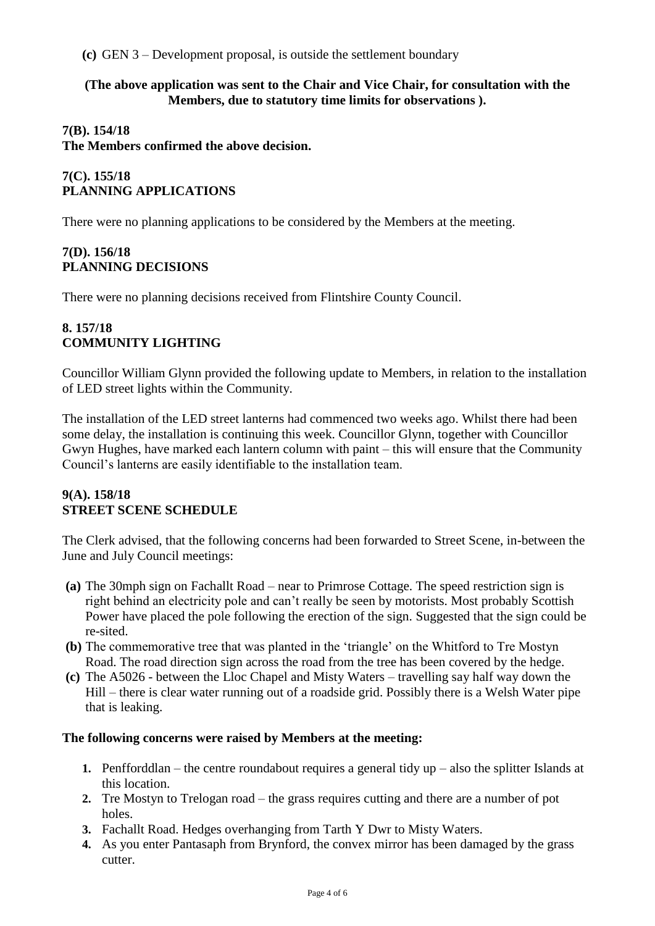**(c)** GEN 3 – Development proposal, is outside the settlement boundary

#### **(The above application was sent to the Chair and Vice Chair, for consultation with the Members, due to statutory time limits for observations ).**

### **7(B). 154/18**

**The Members confirmed the above decision.**

# **7(C). 155/18 PLANNING APPLICATIONS**

There were no planning applications to be considered by the Members at the meeting.

## **7(D). 156/18 PLANNING DECISIONS**

There were no planning decisions received from Flintshire County Council.

### **8. 157/18 COMMUNITY LIGHTING**

Councillor William Glynn provided the following update to Members, in relation to the installation of LED street lights within the Community.

The installation of the LED street lanterns had commenced two weeks ago. Whilst there had been some delay, the installation is continuing this week. Councillor Glynn, together with Councillor Gwyn Hughes, have marked each lantern column with paint – this will ensure that the Community Council's lanterns are easily identifiable to the installation team.

#### **9(A). 158/18 STREET SCENE SCHEDULE**

The Clerk advised, that the following concerns had been forwarded to Street Scene, in-between the June and July Council meetings:

- **(a)** The 30mph sign on Fachallt Road near to Primrose Cottage. The speed restriction sign is right behind an electricity pole and can't really be seen by motorists. Most probably Scottish Power have placed the pole following the erection of the sign. Suggested that the sign could be re-sited.
- **(b)** The commemorative tree that was planted in the 'triangle' on the Whitford to Tre Mostyn Road. The road direction sign across the road from the tree has been covered by the hedge.
- **(c)** The A5026 between the Lloc Chapel and Misty Waters travelling say half way down the Hill – there is clear water running out of a roadside grid. Possibly there is a Welsh Water pipe that is leaking.

## **The following concerns were raised by Members at the meeting:**

- **1.** Penfforddlan the centre roundabout requires a general tidy up also the splitter Islands at this location.
- **2.** Tre Mostyn to Trelogan road the grass requires cutting and there are a number of pot holes.
- **3.** Fachallt Road. Hedges overhanging from Tarth Y Dwr to Misty Waters.
- **4.** As you enter Pantasaph from Brynford, the convex mirror has been damaged by the grass cutter.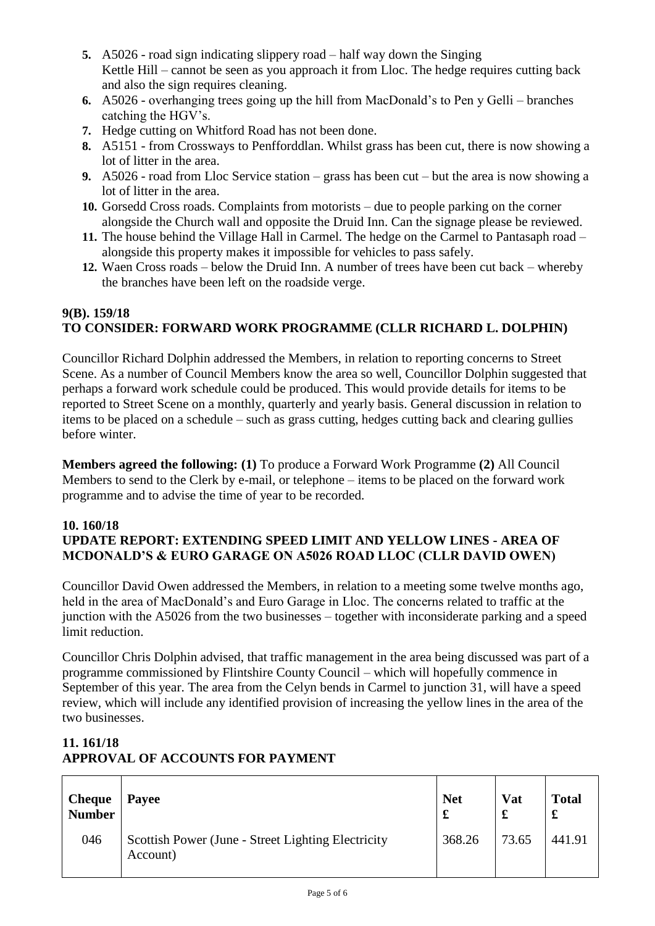- **5.** A5026 road sign indicating slippery road half way down the Singing Kettle Hill – cannot be seen as you approach it from Lloc. The hedge requires cutting back and also the sign requires cleaning.
- **6.** A5026 overhanging trees going up the hill from MacDonald's to Pen y Gelli branches catching the HGV's.
- **7.** Hedge cutting on Whitford Road has not been done.
- **8.** A5151 from Crossways to Penfforddlan. Whilst grass has been cut, there is now showing a lot of litter in the area.
- **9.** A5026 road from Lloc Service station grass has been cut but the area is now showing a lot of litter in the area.
- **10.** Gorsedd Cross roads. Complaints from motorists due to people parking on the corner alongside the Church wall and opposite the Druid Inn. Can the signage please be reviewed.
- **11.** The house behind the Village Hall in Carmel. The hedge on the Carmel to Pantasaph road alongside this property makes it impossible for vehicles to pass safely.
- **12.** Waen Cross roads below the Druid Inn. A number of trees have been cut back whereby the branches have been left on the roadside verge.

# **9(B). 159/18 TO CONSIDER: FORWARD WORK PROGRAMME (CLLR RICHARD L. DOLPHIN)**

Councillor Richard Dolphin addressed the Members, in relation to reporting concerns to Street Scene. As a number of Council Members know the area so well, Councillor Dolphin suggested that perhaps a forward work schedule could be produced. This would provide details for items to be reported to Street Scene on a monthly, quarterly and yearly basis. General discussion in relation to items to be placed on a schedule – such as grass cutting, hedges cutting back and clearing gullies before winter.

**Members agreed the following: (1)** To produce a Forward Work Programme **(2)** All Council Members to send to the Clerk by e-mail, or telephone – items to be placed on the forward work programme and to advise the time of year to be recorded.

#### **10. 160/18 UPDATE REPORT: EXTENDING SPEED LIMIT AND YELLOW LINES - AREA OF MCDONALD'S & EURO GARAGE ON A5026 ROAD LLOC (CLLR DAVID OWEN)**

Councillor David Owen addressed the Members, in relation to a meeting some twelve months ago, held in the area of MacDonald's and Euro Garage in Lloc. The concerns related to traffic at the junction with the A5026 from the two businesses – together with inconsiderate parking and a speed limit reduction.

Councillor Chris Dolphin advised, that traffic management in the area being discussed was part of a programme commissioned by Flintshire County Council – which will hopefully commence in September of this year. The area from the Celyn bends in Carmel to junction 31, will have a speed review, which will include any identified provision of increasing the yellow lines in the area of the two businesses.

# **11. 161/18 APPROVAL OF ACCOUNTS FOR PAYMENT**

| <b>Cheque</b><br><b>Number</b> | Payee                                                          | <b>Net</b> | Vat<br>£ | <b>Total</b><br>£ |
|--------------------------------|----------------------------------------------------------------|------------|----------|-------------------|
| 046                            | Scottish Power (June - Street Lighting Electricity<br>Account) | 368.26     | 73.65    | 441.91            |